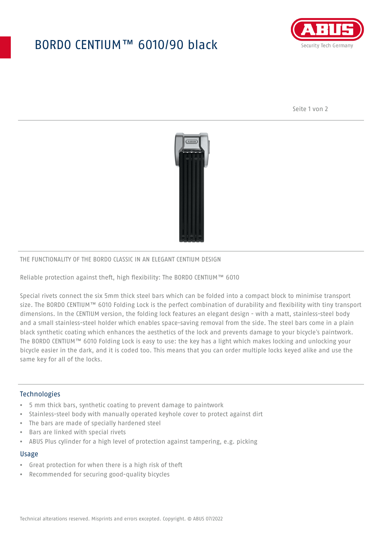## BORDO CENTIUM™ 6010/90 black



Seite 1 von 2



### THE FUNCTIONALITY OF THE BORDO CLASSIC IN AN ELEGANT CENTIUM DESIGN

Reliable protection against theft, high flexibility: The BORDO CENTIUM™ 6010

Special rivets connect the six 5mm thick steel bars which can be folded into a compact block to minimise transport size. The BORDO CENTIUM™ 6010 Folding Lock is the perfect combination of durability and flexibility with tiny transport dimensions. In the CENTIUM version, the folding lock features an elegant design - with a matt, stainless-steel body and a small stainless-steel holder which enables space-saving removal from the side. The steel bars come in a plain black synthetic coating which enhances the aesthetics of the lock and prevents damage to your bicycle's paintwork. The BORDO CENTIUM™ 6010 Folding Lock is easy to use: the key has a light which makes locking and unlocking your bicycle easier in the dark, and it is coded too. This means that you can order multiple locks keyed alike and use the same key for all of the locks.

### Technologies

- 5 mm thick bars, synthetic coating to prevent damage to paintwork
- Stainless-steel body with manually operated keyhole cover to protect against dirt
- The bars are made of specially hardened steel
- Bars are linked with special rivets
- ABUS Plus cylinder for a high level of protection against tampering, e.g. picking

#### Usage

- Great protection for when there is a high risk of theft
- Recommended for securing good-quality bicycles